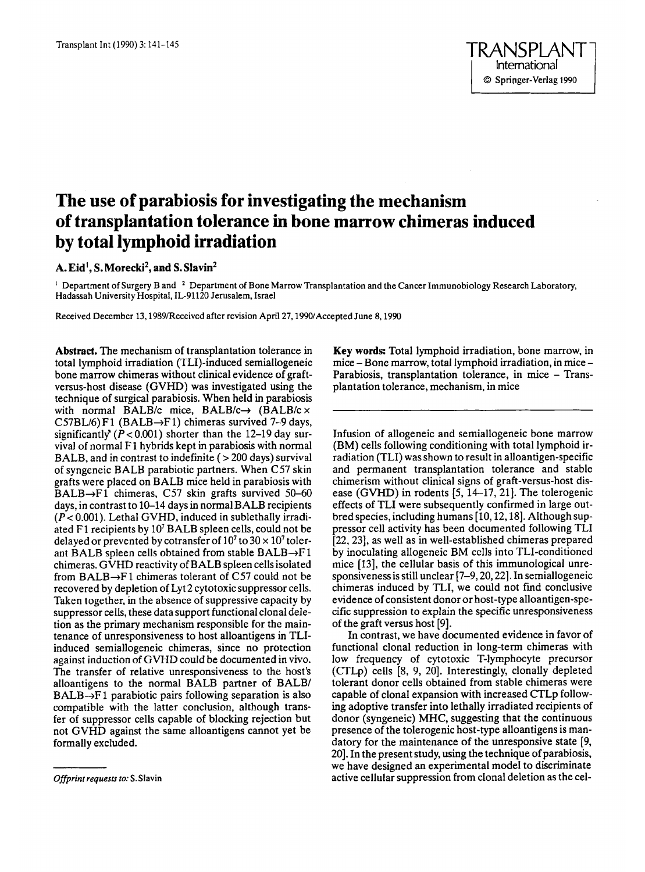# **The use of parabiosis for investigating the mechanism of transplantation tolerance in bone marrow chimeras induced by total lymphoid irradiation**

## A. Eid<sup>1</sup>, S. Morecki<sup>2</sup>, and S. Slavin<sup>2</sup>

 $^1$  Department of Surgery B and  $^2$  Department of Bone Marrow Transplantation and the Cancer Immunobiology Research Laboratory, Hadassah University Hospital, IL-91120 Jerusalem, Israel

Received December 13,1989lReceived after revision April 27,1990/Accepted June 8,1990

**Abstract.** The mechanism of transplantation tolerance in total lymphoid irradiation (TL1)-induced semiallogeneic bone marrow chimeras without clinical evidence of graftversus-host disease (GVHD) was investigated using the technique of surgical parabiosis. When held in parabiosis with normal BALB/c mice, BALB/c $\rightarrow$  (BALB/c  $\times$ C57BL/6) F1 (BALB $\rightarrow$ F1) chimeras survived 7-9 days, significantly'  $(P < 0.001)$  shorter than the 12-19 day survival of normal F 1 hybrids kept in parabiosis with normal BALB, and in contrast *to* indefinite ( > 200 days) survival **of** syngeneic BALB parabiotic partners. When C57 skin grafts were placed on BALB mice held in parabiosis with  $BALB \rightarrow F1$  chimeras, C57 skin grafts survived 50-60 days, in contrast to 10-14 days in normal BALB recipients  $(P < 0.001)$ . Lethal GVHD, induced in sublethally irradiated F1 recipients by  $10^7$  BALB spleen cells, could not be delayed or prevented by cotransfer of  $10^7$  to  $30 \times 10^7$  tolerant BALB spleen cells obtained from stable BALB $\rightarrow$ F1 chimeras. GVHD reactivity of BALB spleen cells isolated from BALB $\rightarrow$ F1 chimeras tolerant of C57 could not be recovered by depletion of Lyt 2 cytotoxic suppressor cells. Taken together, in the absence of suppressive capacity by suppressor cells, these data support functional clonal deletion as the primary mechanism responsible for the maintenance of unresponsiveness to host alloantigens in TLIinduced semiallogeneic chimeras, since no protection against induction of GVHD could be documented in vivo. The transfer of relative unresponsiveness to the host's alloantigens to the normal BALB partner of BALB/  $BALB \rightarrow F1$  parabiotic pairs following separation is also compatible with the latter conclusion, although transfer of suppressor cells capable of blocking rejection but not GVHD against the same alloantigens cannot yet be formally excluded.

**Key words:** Total lymphoid irradiation, bone marrow, in mice - Bone marrow, total lymphoid irradiation, in mice -Parabiosis, transplantation tolerance, in mice – Transplantation tolerance, mechanism, in mice

Infusion of allogeneic and semiallogeneic bone marrow (BM) cells following conditioning with total lymphoid irradiation (TLI) was shown to result in alloantigen-specific and permanent transplantation tolerance and stable chimerism without clinical signs of graft-versus-host disease (GVHD) in rodents [5, 14-17, 21]. The tolerogenic effects of TLI were subsequently confirmed in large outbred species, including humans [10, 12, 18]. Although suppressor cell activity has been documented following TLI [22,23], as well as in well-established chimeras prepared by inoculating allogeneic BM cells into TLI-conditioned mice [13], the cellular basis of this immunological unresponsiveness is still unclear [7-9,20,22]. In semiallogeneic chimeras induced by TLI, we could not find conclusive evidence of consistent donor or host-type alloantigen-specific suppression to explain the specific unresponsiveness of the graft versus host [9].

In contrast, we have documented evidence in favor of functional clonal reduction in long-term chimeras with low frequency of cytotoxic T-lymphocyte precursor (CTLp) cells [8, 9, 20]. Interestingly, clonally depleted tolerant donor cells obtained from stable chimeras were capable of clonal expansion with increased CTLp following adoptive transfer into lethally irradiated recipients of donor (syngeneic) **MHC,** suggesting that the continuous presence of the tolerogenic host-type alloantigens is mandatory for the maintenance of the unresponsive state *[9,*  20]. In the present study, using the technique of parabiosis, we have designed **an** experimental mode1 to discriminate active cellular suppression from clonal deletion as the cel-

*Offprint requests to:* **S.** Slavin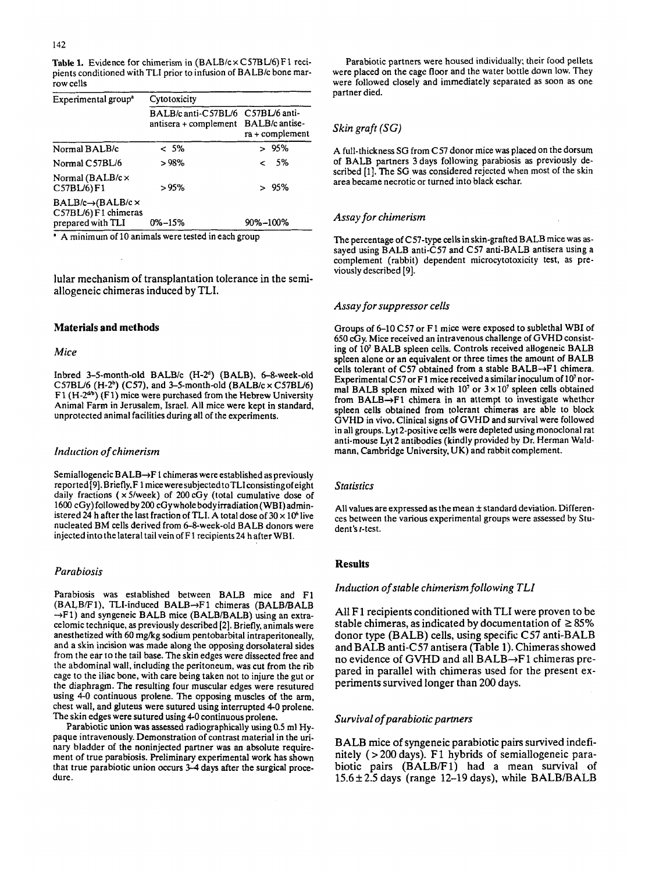Table 1. Evidence for chimerism in (BALB/c×C57BL/6)F1 recipients conditioned with TLI prior to infusion of BALB/c bone marrow cells

| Experimental group <sup>a</sup>                                                  | Cytotoxicity                                                |                                    |  |
|----------------------------------------------------------------------------------|-------------------------------------------------------------|------------------------------------|--|
|                                                                                  | BALB/c anti-C57BL/6<br>antisera + complement BALB/c antise- | C57BL/6 anti-<br>$ra + complement$ |  |
| Normal BALB/c                                                                    | $< 5\%$                                                     | >95%                               |  |
| Normal C57BL/6                                                                   | >98%                                                        | $&5\%$                             |  |
| Normal ( $BALB/c \times$<br>$C57BL/6$ $F1$                                       | >95%                                                        | > 95%                              |  |
| $BALB/c \rightarrow (BALB/c \times$<br>C57BL/6) F1 chimeras<br>prepared with TLI | $0\% - 15\%$                                                | 90%-100%                           |  |
|                                                                                  |                                                             |                                    |  |

**A** minimum of 10 animals were tested in each group

lular mechanism of transplantation tolerance in the semiallogeneic chimeras induced by TLI.

#### **Materials and methods**

#### *Mice*

Inbred 3-5-month-old BALBlc **(H-2d)** (BALB). 6-8-week-old C57BL/6 (H-2") (C57). and 3-5-month-old (BALBlc **x** C57BU6) F1 **(H-2dm)** (Fl) mice were purchased from the Hebrew University Animal Farm in Jerusalem, Israel. All mice were kept in standard, unprotected animal facilities during all of the experiments.

## *Induction of chimerism*

Semiallogeneic  $BALB\rightarrow F1$  chimeras were established as previously reported[9].Briefly,F 1 miceweresubjected toTLIconsistingofeight daily fractions ( $\times$  5/week) of 200 cGy (total cumulative dose of 1600 cGy) followed by200 cGywhole body irradiation (WB1)administered 24 h after the last fraction of **TLI. A** total dose of **30 x 106** live nucleated BM cells derived from 6-8-week-old BALB donors were injected into the lateral tail vein of F 1 recipients24 h after WBI.

#### *Parczbiosis*

Parabiosis was established between BALB mice and F1 (BALB/F1), TLI-induced BALB→F1 chimeras (BALB/BALB  $\rightarrow$ F1) and syngeneic BALB mice (BALB/BALB) using an extracelomic technique, **as** previously described **[2].** Briefly, animals were anesthetized with 60 mgkg sodium pentobarbital intraperitoneally, and a skin incision was made along the opposing dorsolateral sides from the ear to the tail base. The skin edges were dissected free and the abdominal wall, including the peritoneum, was cut from the rib cage to the iliac bone, with care being taken not to injure the gut or the diaphragm. The resulting four muscular edges were resutured using 4-0 continuous prolene. The opposing muscles of the arm, chest wall, and gluteus were sutured using interrupted **4-0** prolene. The skin edges were sutured using 4-0 continuous prolene.

Parabiotic union **was** assessed radiographically using 0.5 ml Hypaque intravenously. Demonstration of contrast material in the urinary bladder of the noninjected partner was an absolute requirement of true parabiosis. Preliminary experimental work has shown that true parabiotic union occurs *3-4* days after the surgical procedure.

Parabiotic partners were housed individually; their **food** pellets were placed on the cage floor and the water bottle down low. They were followed closely and immediately separated **as** soon as one partner died.

## *Skin graft (SG)*

A full-thickness SG from C57 donor mice was placed on the dorsurn of BALB partners 3 days following parabiosis as previously described [l]. The SG was considered rejected when most of the **skin**  area became necrotic or turned into black eschar.

## *Assay for chimerism*

The percentage of C57-type cells in skin-grafted BALB mice was **as**sayed using BALB anti-C57 and C57 anti-BALB antisera using a complement (rabbit) dependent microcytotoxicity test, as previously described *[9].* 

## *Assay for suppressor cells*

Groups of 6-10 C57 or F! mice were exposed to sublethal WBI of 650 cGy. Mice received an intravenous challenge of GVHD consisting of **lo7** BALB spleen cells. Controls received allogeneic BALB spleen alone or an equivalent or three times the amount **of** BALB cells tolerant of C57 obtained from a stable BALB- $\rightarrow$ F1 chimera. Experimental C57 or F1 mice received a similar inoculum of 10<sup>7</sup> normal BALB spleen mixed with  $10<sup>7</sup>$  or  $3 \times 10<sup>7</sup>$  spleen cells obtained from BALB-Fl chimera in an attempt to investigate whethcr spleen cells obtained from tolerant chimeras are able to block GVHD in vivo. Clinical signs *of* GVHD and survival were followed in all groups. Lyt2-positive cells were depleted using monoclonal rat anti-mouse Lyt2 antibodies (kindly provided by Dr. Herman Waldmann, Cambridge University, UK) and rabbit complement.

#### *Statistics*

All values are expressed as the mean  $\pm$  standard deviation. Differences between the various experimental groups were assessed by Student's t-test.

#### **Results**

## *Indtiction* of *stable chimerism following TLI*

**All** F **1** recipients conditioned with TLI were proven to be stable chimeras, as indicated by documentation of  $\geq 85\%$ donor type (BALB) cells, using specific C57 anti-BALB and BALB anti-C57 antisera (Table 1). Chimeras showed no evidence of GVHD and all  $BALB \rightarrow F1$  chimeras prepared in parallel with chimeras used for the present experiments survived longer than 200 days.

## *Survival* of *parabiotic partners*

BALB mice of syngeneic parabiotic pairs survived indefinitely ( > 200 days). F1 hybrids **of** semiallogeneic parabiotic pairs (BALB/Fl) had a mean survival of  $15.6 \pm 2.5$  days (range 12-19 days), while BALB/BALB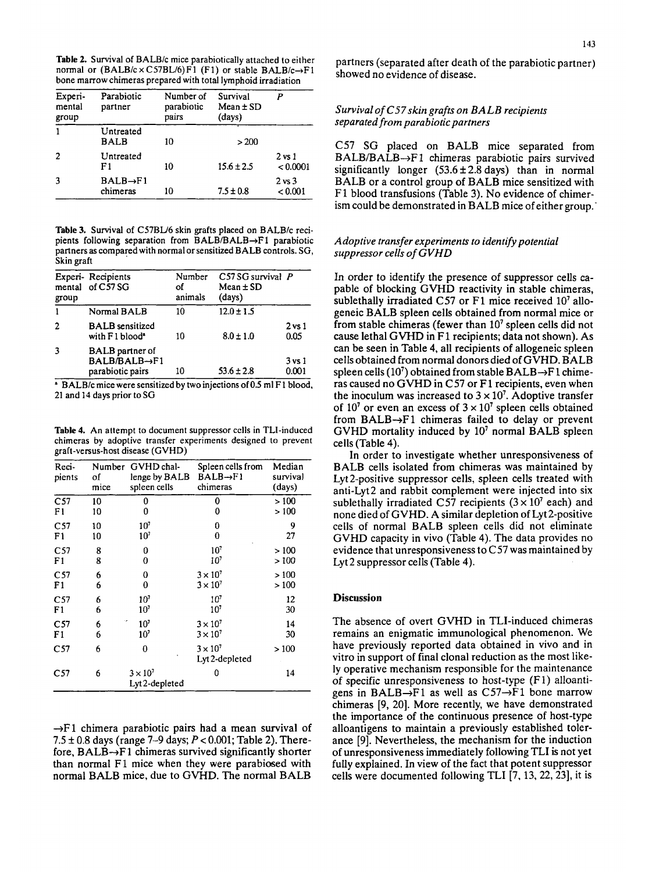**Table 2.** Survival of BALB/c mice parabiotically attached to either normal or (BALB/c × C57BL/6)F1 (F1) or stable BALB/c→F1 bone marrow chimeras prepared with total lymphoid irradiation

| Experi-<br>mental<br>group | Parabiotic<br>partner             | Number of<br>parabiotic<br>pairs | Survival<br>$Mean \pm SD$<br>(days) |                              |
|----------------------------|-----------------------------------|----------------------------------|-------------------------------------|------------------------------|
|                            | Untreated<br><b>BALB</b>          | 10                               | >200                                |                              |
| 2                          | Untreated<br>F <sub>1</sub>       | 10                               | $15.6 \pm 2.5$                      | $2$ vs $1$<br>< 0.0001       |
|                            | $BALB \rightarrow F1$<br>chimeras | 10                               | $7.5 \pm 0.8$                       | $2 \text{ vs } 3$<br>< 0.001 |

**Table 3.** Survival of CS7BU6 skin grafts placed **on** BALBlc recipients following separation from BALB/BALB $\rightarrow$ F1 parabiotic partners as comparedwith normal or sensitized BALB controls. SG, Skin graft

| group | Experi-Recipients<br>mental of C57 SG                                    | Number<br>οf<br>animals | $C57SG$ survival $P$<br>$Mean \pm SD$<br>(days) |                           |
|-------|--------------------------------------------------------------------------|-------------------------|-------------------------------------------------|---------------------------|
|       | Normal BALB                                                              | 10                      | $12.0 \pm 1.5$                                  |                           |
| 2     | <b>BALB</b> sensitized<br>with F1 blood <sup>®</sup>                     | 10                      | $8.0 \pm 1.0$                                   | $2 \text{ vs } 1$<br>0.05 |
| 3     | <b>BALB</b> partner of<br>$BALB/BALB \rightarrow F1$<br>parabiotic pairs | 10                      | $53.6 \pm 2.8$                                  | $3$ vs $1$<br>0.001       |

BALB/c mice were sensitized by two injections of **0.5** ml F1 blood, 21 and 14 days prior to SG

**Table 4.** An attempt to document suppressor cclls in TLI-induced chimeras by adoptive transfer experiments designed to prevent graft-versus-host disease (GVHD)

| Reci-<br>pients | of<br>mice | Number GVHD chal-<br>lenge by BALB<br>spleen cells | Spleen cells from<br>$BALB \rightarrow F1$<br>chimeras | Median<br>survival<br>(days) |
|-----------------|------------|----------------------------------------------------|--------------------------------------------------------|------------------------------|
| C <sub>57</sub> | 10         | 0                                                  | 0                                                      | >100                         |
| F1              | 10         | 0                                                  | 0                                                      | >100                         |
| C57             | 10         | 10 <sup>7</sup>                                    | 0                                                      | 9                            |
| F1              | 10         | 10 <sup>7</sup>                                    | 0                                                      | 27                           |
| C <sub>57</sub> | 8          | 0                                                  | 10 <sup>7</sup>                                        | >100                         |
| F1              | 8          | 0                                                  | $10^7$                                                 | >100                         |
| C <sub>57</sub> | 6          | 0                                                  | $3 \times 10^7$                                        | >100                         |
| F <sub>1</sub>  | 6          | 0                                                  | $3 \times 10^7$                                        | >100                         |
| C <sub>57</sub> | 6          | 10 <sup>7</sup>                                    | 10 <sup>7</sup>                                        | 12                           |
| F <sub>1</sub>  | 6          | 10 <sup>7</sup>                                    | 10 <sup>7</sup>                                        | 30                           |
| C57             | 6          | 10 <sup>7</sup>                                    | $3 \times 10^{7}$                                      | 14                           |
| F1              | 6          | $10^7$                                             | $3 \times 10^7$                                        | 30                           |
| C57             | 6          | 0                                                  | $3 \times 10^7$<br>Lyt 2-depleted                      | >100                         |
| C57             | 6          | $3 \times 10^7$<br>Lyt 2-depleted                  | ۵                                                      | 14                           |

 $\rightarrow$ F1 chimera parabiotic pairs had a mean survival of 7.5 **j:** 0.8 days (range 7-9 days; *P c* 0.001; Table 2). Therefore,  $BALB \rightarrow F1$  chimeras survived significantly shorter than normal F1 mice when they were parabiosed with normal BALB mice, due to GVHD. The normal BALB

partners (separated after death of the parabiotic partner) showed no evidence of disease.

## *Survival of C57skin grafts on BALB recipients separated from parabiotic partners*

C57 SG placed on BALB mice separated from  $BALB/BALB \rightarrow F1$  chimeras parabiotic pairs survived significantly longer  $(53.6 \pm 2.8 \text{ days})$  than in normal BALB or a control group of BALB mice sensitized with F 1 blood transfusions (Table 3). No evidence of chimerism could be demonstrated in BALB mice of either group.'

## *Adoptive transfer experiments to identify potential suppressor cells of GVHD*

In order to identify the presence of suppressor cells capable of blocking GVHD reactivity in stable chimeras, sublethally irradiated C57 or F1 mice received  $10<sup>7</sup>$  allogeneic BALB spleen cells obtained from normal mice or from stable chimeras (fewer than  $10<sup>7</sup>$  spleen cells did not cause lethal GVHD in F1 recipients; data not shown). As can be seen in Table **4,** all recipients of allogeneic spleen cells obtained from normal donors died **of** GVHD. BALB spleen cells  $(10^7)$  obtained from stable  $BALB \rightarrow F1$  chimeras caused no GVHD in C57 or F1 recipients, even when the inoculum was increased to  $3 \times 10^7$ . Adoptive transfer of 10<sup>7</sup> or even an excess of  $3 \times 10^7$  spleen cells obtained from  $BALB \rightarrow F1$  chimeras failed to delay or prevent GVHD mortality induced by  $10<sup>7</sup>$  normal BALB spleen cells (Table **4).** 

In order to investigate whether unresponsiveness of BALB cells isolated from chimeras was maintained by Lyt 2-positive suppressor cells, spleen cells treated with anti-Lyt2 and rabbit complement were injected into six sublethally irradiated C57 recipients  $(3 \times 10^7 \text{ each})$  and none died **of** GVHD. A similar depletion of Lyt 2-positive cells **of** normal BALB spleen cells did not eliminate GVHD capacity in vivo (Table **4).** The data provides no evidence that unresponsiveness to  $C57$  was maintained by Lyt 2 suppressor cells (Table **4).** 

## **Discussion**

The absence of overt GVHD in TLI-induced chimeras remains an enigmatic immunological phenomenon. We have previously reported data obtained in vivo and in vitro in support of final clonal reduction as the most likely operative mechanism responsible for the maintenance **of** specific unresponsiveness *to* host-type (F 1) alloantigens in BALB $\rightarrow$ F1 as well as C57 $\rightarrow$ F1 bone marrow chimeras [9, 20]. More recently, we have demonstrated the importance of the continuous presence of host-type alloantigens to maintain a previously established tolerance [9]. Nevertheless, the mechanism for the induction of unresponsiveness immediately following TLI is not yet fully explained. In view of the fact that potent suppressor cells were documented following TLI [7,13,22,23], it is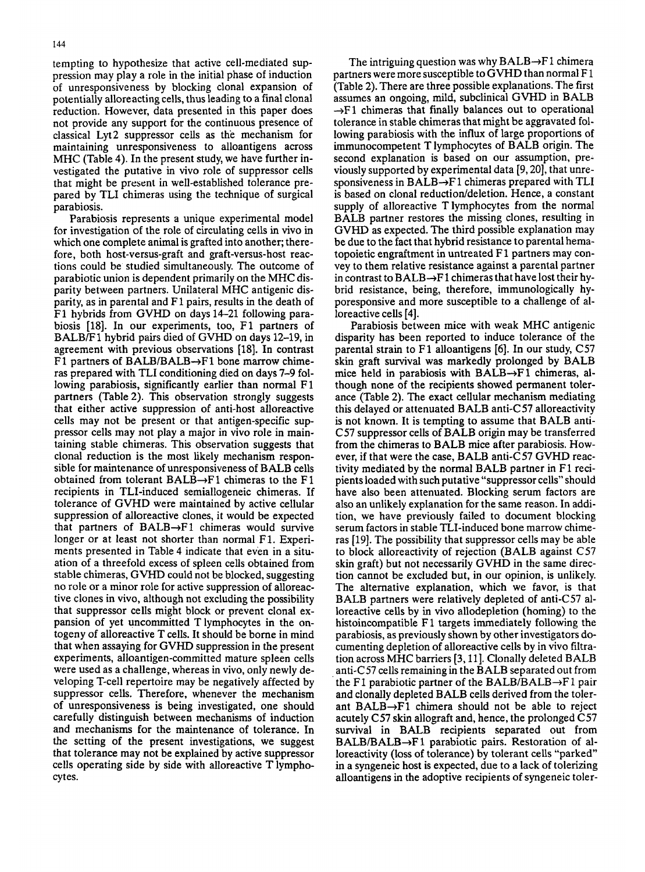tempting to hypothesize that active cell-mediated suppression may play a role in the initial phase of induction of unresponsiveness by blocking clonal expansion of potentially alloreacting cells, thus leading to a final clonal reduction. However, data presented in this paper does not provide any support for the continuous presence of classical Lyt2 suppressor cells as the mechanism for maintaining unresponsiveness to alloantigens across MHC (Table **4).** In the present study, we have further investigated the putative in vivo role of suppressor cells

that might be present in well-established tolerance prepared by TLI chimeras using the technique of surgical parabiosis. Parabiosis represents a unique experimental model

for investigation of the role of circulating cells in vivo in which one complete animal is grafted into another; therefore, both host-versus-graft and graft-versus-host reactions could be studied simultaneously. The outcome of parabiotic union is dependent primarily on the MHC disparity between partners. Unilateral MHC antigenic disparity, as in parental and F 1 pairs, results in the death of F1 hybrids from GVHD on days 14-21 following parabiosis [18]. In our experiments, too, F1 partners of BALB/F 1 hybrid pairs died of GVHD on days 12-19, in agreement with previous observations [18]. In contrast F1 partners of BALB/BALB $\rightarrow$ F1 bone marrow chimeras prepared with TLI conditioning died on days 7-9 following parabiosis, significantly earlier than normal F1 partners (Table 2). This observation strongly suggests that either active suppression of anti-host alloreactive cells may not be present or that antigen-specific suppressor cells may not play a major in vivo role in maintaining stable chimeras. This observation suggests that clonal reduction is the most likely mechanism responsible for maintenance of unresponsiveness of BALB cells obtained from tolerant  $BALB \rightarrow F1$  chimeras to the F1 recipients in TLI-induced semiallogeneic chimeras. If tolerance of GVHD were maintained by active cellular suppression of alloreactive clones, it would be expected that partners of  $BALB \rightarrow F1$  chimeras would survive longer or at least not shorter than normal F1. Experiments presented in Table **4** indicate that even in a situation of a threefold excess of spleen cells obtained from stable chimeras, GVHD could not be blocked, suggesting no role or a minor role for active suppression of alloreactive clones in vivo, although not excluding the possibility that suppressor cells might block or prevent clonal expansion of yet uncommitted T lymphocytes in the ontogeny of alloreactive T cells. It should be borne in mind that when assaying for GVHD suppression in the present experiments, alloantigen-committed mature spleen cells were used as a challenge, whereas in vivo, only newly developing T-cell repertoire may be negatively affected by suppressor cells. Therefore, whenever the mechanism of unresponsiveness is being investigated, one should carefully distinguish between mechanisms of induction and mechanisms for the maintenance of tolerance. In the setting of the present investigations, we suggest that tolerance may not be explained by active suppressor cells operating side by side with alloreactive T lymphocytes.

The intriguing question was why  $BALB \rightarrow F1$  chimera partners were more susceptible to GVHD than normal F 1 (Table 2). There are three possible explanations. The first assumes an ongoing, mild, subclinical GVHD in BALB  $\rightarrow$ F1 chimeras that finally balances out to operational tolerance in stable chimeras that might be aggravated following parabiosis with the influx of large proportions of immunocompetent T lymphocytes of BALB origin. The second explanation is based on our assumption, previously supported by experimental data [9,20], that unresponsiveness in BALB $\rightarrow$ F1 chimeras prepared with TLI is based on clonal reduction/deletion. Hence, a constant supply of alloreactive T lymphocytes from the normal BALB partner restores the missing clones, resulting in GVHD as expected. The third possible explanation may be due to the fact that hybrid resistance to parental hematopoietic engraftment in untreated F 1 partners may convey to them relative resistance against a parental partner in contrast to  $BALB \rightarrow F1$  chimeras that have lost their hybrid resistance, being, therefore, immunologically hyporesponsive and more susceptible to a challenge of alloreactive cells **[4].** 

Parabiosis between mice with weak MHC antigenic disparity has been reported to induce tolerance of the parental strain to F1 alloantigens *[6].* In our study, C57 skin graft survival was markedly prolonged by BALB mice held in parabiosis with  $BALB \rightarrow F1$  chimeras, although none of the recipients showed permanent tolerance (Table 2). The exact cellular mechanism mediating this delayed or attenuated BALB anti-C57 alloreactivity is not known. It is tempting to assume that BALB anti-C57 suppressor cells of BALB origin may be transferred from the chimeras to BALB mice after parabiosis. However, if that were the case, BALB anti-C57 GVHD reactivity mediated by the normal BALB partner in F 1 recipients loaded with such putative "suppressor cells" should have also been attenuated. Blocking serum factors are also an unlikely explanation for the same reason. In addition, we have previously failed to document blocking serum factors in stable TLI-induced bone marrow chimeras [19]. The possibility that suppressor cells may be able to block alloreactivity of rejection (BALB against C57 skin graft) but not necessarily GVHD in the same direction cannot be excluded but, in our opinion, is unlikely. The alternative explanation, which we favor, is that BALB partners were relatively depleted of anti- $C57$  alloreactive cells by in vivo allodepletion (homing) to the histoincompatible  $F1$  targets immediately following the parabiosis, as previously shown by other investigators documenting depletion of alloreactive cells by in vivo filtration across MHC barriers [3,11]. Clonally deleted BALB anti- $C$ 57 cells remaining in the BALB separated out from the F1 parabiotic partner of the BALB/BALB $\rightarrow$ F1 pair and clonally depleted BALB cells derived from the tolerant BALB $\rightarrow$ F1 chimera should not be able to reject acutely C57 **skin** allograft and, hence, the prolonged C57 survival in BALB recipients separated out from  $BALB/BALB \rightarrow F1$  parabiotic pairs. Restoration of alloreactivity (loss of tolerance) by tolerant cells "parked in a syngeneic host is expected, due to a lack of tolerizing alloantigens in the adoptive recipients of syngeneic toler-